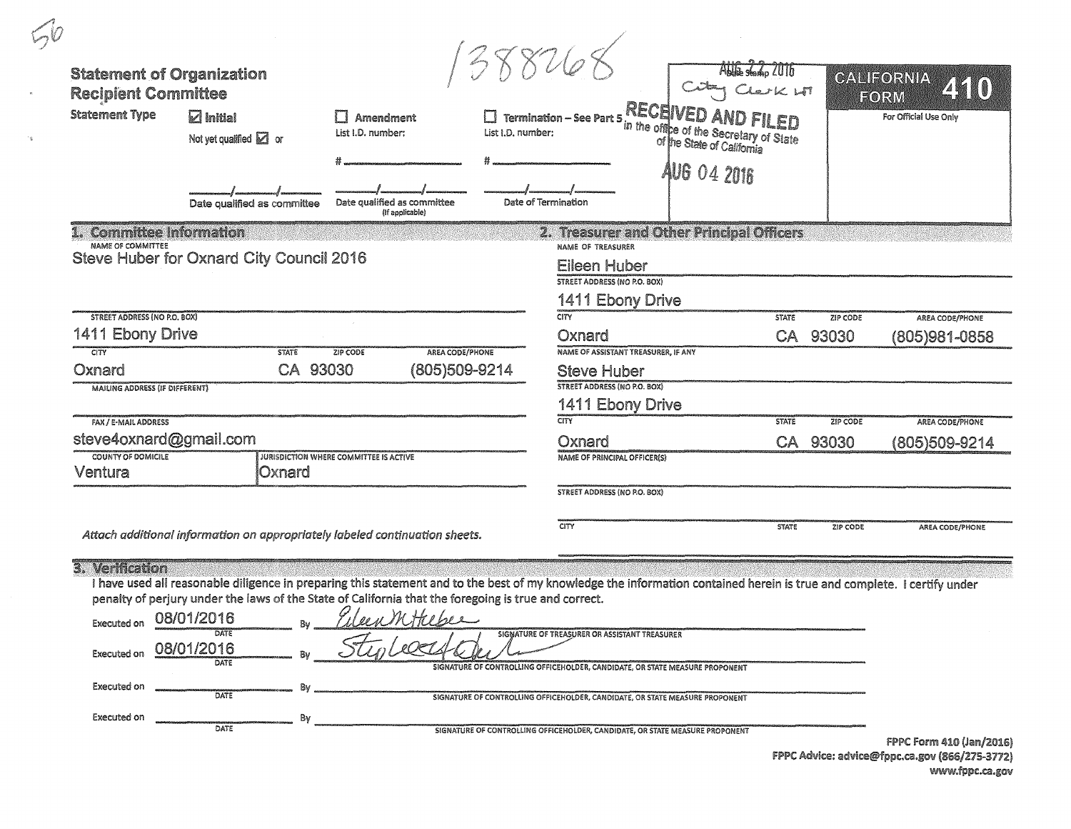| <b>Recipient Committee</b><br><b>Statement Type</b>            | <b>Statement of Organization</b><br>$\boxdot$ Initial<br>Not yet qualified $\Box$ or<br>Date qualified as committee |              | Amendment<br>List I.D. number:<br>Date qualified as committee<br>(if applicable)                                                                                                                                                                                                | List I.D. number: | <b>Termination – See Part 5 RECEIVED AND FILED</b><br>t.l.D. number:<br>of the State of California<br>Date of Termination     | <b>AUG 04 2016</b> |              |                      | CALIFORNIA<br>ZKKO)<br>FORM<br>For Official Use Only                                          |
|----------------------------------------------------------------|---------------------------------------------------------------------------------------------------------------------|--------------|---------------------------------------------------------------------------------------------------------------------------------------------------------------------------------------------------------------------------------------------------------------------------------|-------------------|-------------------------------------------------------------------------------------------------------------------------------|--------------------|--------------|----------------------|-----------------------------------------------------------------------------------------------|
| NAME OF COMMITTEE                                              | 1. Committee Information                                                                                            |              |                                                                                                                                                                                                                                                                                 |                   | 2. Treasurer and Other Principal Officers<br>NAME OF TREASURER                                                                |                    |              |                      |                                                                                               |
|                                                                | Steve Huber for Oxnard City Council 2016                                                                            |              |                                                                                                                                                                                                                                                                                 |                   | <b>Eileen Huber</b><br>STREET ADDRESS (NO P.O. BOX)                                                                           |                    |              |                      |                                                                                               |
|                                                                |                                                                                                                     |              |                                                                                                                                                                                                                                                                                 |                   |                                                                                                                               |                    |              |                      |                                                                                               |
|                                                                |                                                                                                                     |              |                                                                                                                                                                                                                                                                                 |                   | 1411 Ebony Drive                                                                                                              |                    |              |                      |                                                                                               |
| <b>STREET ADDRESS (NO P.O. BOX)</b><br><b>1411 Ebony Drive</b> |                                                                                                                     |              |                                                                                                                                                                                                                                                                                 |                   | CITY<br>Oxnard                                                                                                                |                    | <b>STATE</b> | ZIP CODE<br>CA 93030 | AREA CODE/PHONE                                                                               |
| <b>CITY</b>                                                    |                                                                                                                     | <b>STATE</b> | ZIP CODE                                                                                                                                                                                                                                                                        | AREA CODE/PHONE   | NAME OF ASSISTANT TREASURER, IF ANY                                                                                           |                    |              |                      | (805)981-0858                                                                                 |
| Oxnard                                                         |                                                                                                                     | CA 93030     |                                                                                                                                                                                                                                                                                 | (805)509-9214     | <b>Steve Huber</b>                                                                                                            |                    |              |                      |                                                                                               |
| <b>MAILING ADDRESS (IF DIFFERENT)</b>                          |                                                                                                                     |              |                                                                                                                                                                                                                                                                                 |                   | <b>STREET ADDRESS (NO P.O. BOX)</b>                                                                                           |                    |              |                      |                                                                                               |
| FAX / E-MAIL ADDRESS                                           |                                                                                                                     |              |                                                                                                                                                                                                                                                                                 |                   | 1411 Ebony Drive<br><b>CITY</b>                                                                                               |                    | <b>STATE</b> | ZIP CODE             |                                                                                               |
|                                                                | steve4oxnard@gmail.com                                                                                              |              |                                                                                                                                                                                                                                                                                 |                   | Oxnard                                                                                                                        |                    |              | CA 93030             | AREA CODE/PHONE                                                                               |
| COUNTY OF DOMICILE                                             |                                                                                                                     |              | JURISDICTION WHERE COMMITTEE IS ACTIVE                                                                                                                                                                                                                                          |                   | <b>NAME OF PRINCIPAL OFFICER(S)</b>                                                                                           |                    |              |                      | (805)509-9214                                                                                 |
| Ventura                                                        |                                                                                                                     | Oxnard       |                                                                                                                                                                                                                                                                                 |                   |                                                                                                                               |                    |              |                      |                                                                                               |
|                                                                |                                                                                                                     |              |                                                                                                                                                                                                                                                                                 |                   | STREET ADDRESS (NO P.O. BOX)                                                                                                  |                    |              |                      |                                                                                               |
|                                                                |                                                                                                                     |              |                                                                                                                                                                                                                                                                                 |                   | <b>CITY</b>                                                                                                                   |                    | <b>STATE</b> | ZIP CODE             | AREA CODE/PHONE                                                                               |
|                                                                |                                                                                                                     |              | Attach additional information on appropriately labeled continuation sheets.                                                                                                                                                                                                     |                   |                                                                                                                               |                    |              |                      |                                                                                               |
| 3. Verification                                                |                                                                                                                     |              | I have used all reasonable diligence in preparing this statement and to the best of my knowledge the information contained herein is true and complete. I certify under<br>penalty of perjury under the laws of the State of California that the foregoing is true and correct. |                   |                                                                                                                               |                    |              |                      |                                                                                               |
| <b>Executed on</b>                                             | 08/01/2016                                                                                                          |              | EleenWitteber                                                                                                                                                                                                                                                                   |                   |                                                                                                                               |                    |              |                      |                                                                                               |
| <b>Executed on</b>                                             | 08/01/2016                                                                                                          |              |                                                                                                                                                                                                                                                                                 |                   | SIGNATURE OF TREASURER OR ASSISTANT TREASURER<br>SIGNATURE OF CONTROLLING OFFICEHOLDER, CANDIDATE, OR STATE MEASURE PROPONENT |                    |              |                      |                                                                                               |
| <b>Executed on</b>                                             | DATE                                                                                                                |              |                                                                                                                                                                                                                                                                                 |                   | SIGNATURE OF CONTROLLING OFFICEHOLDER, CANDIDATE, OR STATE MEASURE PROPONENT                                                  |                    |              |                      |                                                                                               |
| Executed on                                                    |                                                                                                                     | Bv           |                                                                                                                                                                                                                                                                                 |                   |                                                                                                                               |                    |              |                      |                                                                                               |
|                                                                | DATE                                                                                                                |              |                                                                                                                                                                                                                                                                                 |                   | SIGNATURE OF CONTROLLING OFFICEHOLDER, CANDIDATE, OR STATE MEASURE PROPONENT                                                  |                    |              |                      | FPPC Form 410 (Jan/2016)<br>FPPC Advice: advice@fppc.ca.gov (866/275-3772)<br>www.fppc.ca.gov |

 $\rightarrow_{\mathbf{k}}$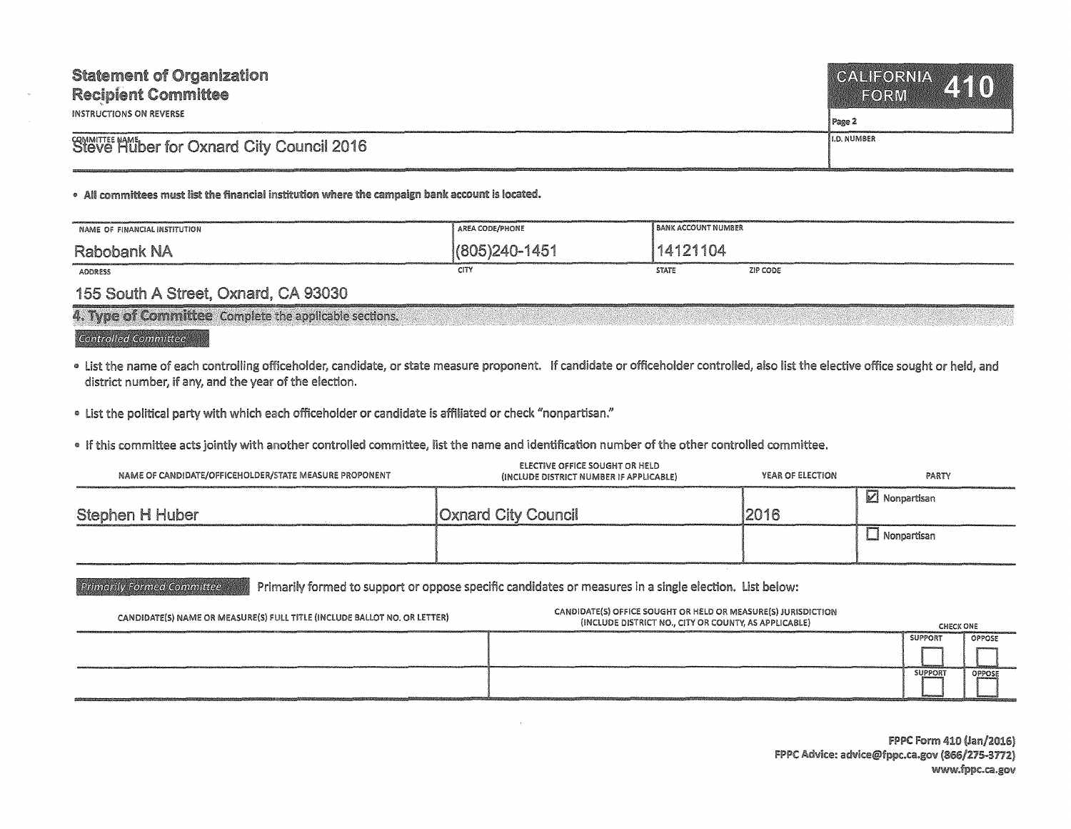| <b>Statement of Organization</b><br><b>Recipient Committee</b><br>INSTRUCTIONS ON REVERSE | CALIFORNIA 410<br>  Page 2 |
|-------------------------------------------------------------------------------------------|----------------------------|
| Steve Huber for Oxnard City Council 2016                                                  | i I.D. NUMBER              |
|                                                                                           |                            |

. All committees must list the financial institution where the campaign bank account is located.

| NAME OF FINANCIAL INSTITUTION | AREA CODE/PHONE | <b>BANK ACCOUNT NUMBER</b> |          |
|-------------------------------|-----------------|----------------------------|----------|
| <b>Rabobank NA</b>            | 1/805)240-1451  | 14121104                   |          |
| <b>ADDRESS</b>                | CITY            | <b>STATE</b>               | ZIP CODE |

## 155 South A Street, Oxnard, CA 93030

| 4. Type of Committee Complete the applicable sections. |  |  |
|--------------------------------------------------------|--|--|
|                                                        |  |  |
|                                                        |  |  |
|                                                        |  |  |
|                                                        |  |  |
|                                                        |  |  |
|                                                        |  |  |
|                                                        |  |  |
|                                                        |  |  |
|                                                        |  |  |
|                                                        |  |  |

## Controlled Committee

- List the name of each controlling officeholder, candidate, or state measure proponent. If candidate or officeholder controlled, also list the elective office sought or held, and district number, if any, and the year of the election.
- List the political party with which each officeholder or candidate is affiliated or check "nonpartisan."
- If this committee acts jointly with another controlled committee, list the name and identification number of the other controlled committee.

| NAME OF CANDIDATE/OFFICEHOLDER/STATE MEASURE PROPONENT | <b>ELECTIVE OFFICE SOUGHT OR HELD</b><br>(INCLUDE DISTRICT NUMBER IF APPLICABLE) | YEAR OF ELECTION | PARTY                |
|--------------------------------------------------------|----------------------------------------------------------------------------------|------------------|----------------------|
| Stephen H Huber                                        | <b>Oxnard City Council</b>                                                       | 2016             | <b>Z</b> Nonpartisan |
|                                                        |                                                                                  |                  | __I Nonpartisan      |

**Primarily Formed Committee** or oppose specific candidates or measures in a single election. List below:

| CANDIDATE(S) NAME OR MEASURE(S) FULL TITLE (INCLUDE BALLOT NO. OR LETTER) | CANDIDATE(S) OFFICE SOUGHT OR HELD OR MEASURE(S) JURISDICTION<br>(INCLUDE DISTRICT NO., CITY OR COUNTY, AS APPLICABLE) | <b>CHECK ONE</b> |        |
|---------------------------------------------------------------------------|------------------------------------------------------------------------------------------------------------------------|------------------|--------|
|                                                                           |                                                                                                                        | <b>SUPPORT</b>   | OPPOSE |
|                                                                           |                                                                                                                        |                  |        |
|                                                                           |                                                                                                                        | <b>SUPPORT</b>   | OPPOSE |
|                                                                           |                                                                                                                        |                  |        |